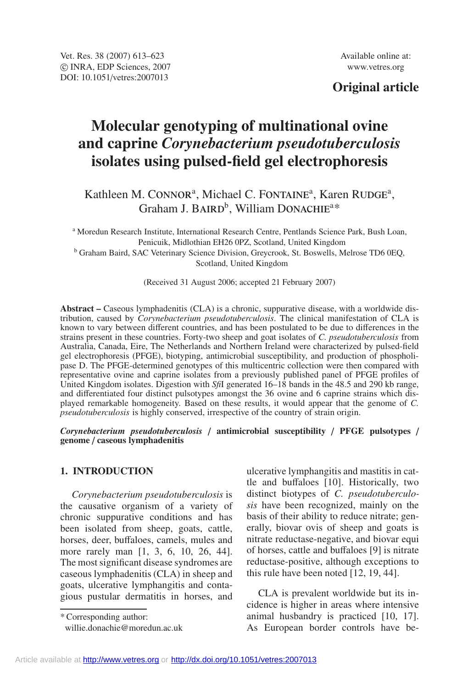# **Original article**

# **Molecular genotyping of multinational ovine and caprine** *Corynebacterium pseudotuberculosis* **isolates using pulsed-field gel electrophoresis**

Kathleen M. CONNOR<sup>a</sup>, Michael C. FONTAINE<sup>a</sup>, Karen RUDGE<sup>a</sup>, Graham J. BAIRD<sup>b</sup>, William DONACHIE<sup>a\*</sup>

<sup>a</sup> Moredun Research Institute, International Research Centre, Pentlands Science Park, Bush Loan, Penicuik, Midlothian EH26 0PZ, Scotland, United Kingdom <sup>b</sup> Graham Baird, SAC Veterinary Science Division, Greycrook, St. Boswells, Melrose TD6 0EQ, Scotland, United Kingdom

(Received 31 August 2006; accepted 21 February 2007)

**Abstract –** Caseous lymphadenitis (CLA) is a chronic, suppurative disease, with a worldwide distribution, caused by *Corynebacterium pseudotuberculosis*. The clinical manifestation of CLA is known to vary between different countries, and has been postulated to be due to differences in the strains present in these countries. Forty-two sheep and goat isolates of *C. pseudotuberculosis* from Australia, Canada, Eire, The Netherlands and Northern Ireland were characterized by pulsed-field gel electrophoresis (PFGE), biotyping, antimicrobial susceptibility, and production of phospholipase D. The PFGE-determined genotypes of this multicentric collection were then compared with representative ovine and caprine isolates from a previously published panel of PFGE profiles of United Kingdom isolates. Digestion with *Sfi*I generated 16–18 bands in the 48.5 and 290 kb range, and differentiated four distinct pulsotypes amongst the 36 ovine and 6 caprine strains which displayed remarkable homogeneity. Based on these results, it would appear that the genome of *C. pseudotuberculosis* is highly conserved, irrespective of the country of strain origin.

*Corynebacterium pseudotuberculosis* / **antimicrobial susceptibility** / **PFGE pulsotypes** / **genome** / **caseous lymphadenitis**

# **1. INTRODUCTION**

*Corynebacterium pseudotuberculosis* is the causative organism of a variety of chronic suppurative conditions and has been isolated from sheep, goats, cattle, horses, deer, buffaloes, camels, mules and more rarely man [1, 3, 6, 10, 26, 44]. The most significant disease syndromes are caseous lymphadenitis (CLA) in sheep and goats, ulcerative lymphangitis and contagious pustular dermatitis in horses, and

\* Corresponding author:

willie.donachie@moredun.ac.uk

ulcerative lymphangitis and mastitis in cattle and buffaloes [10]. Historically, two distinct biotypes of *C. pseudotuberculosis* have been recognized, mainly on the basis of their ability to reduce nitrate; generally, biovar ovis of sheep and goats is nitrate reductase-negative, and biovar equi of horses, cattle and buffaloes [9] is nitrate reductase-positive, although exceptions to this rule have been noted [12, 19, 44].

CLA is prevalent worldwide but its incidence is higher in areas where intensive animal husbandry is practiced [10, 17]. As European border controls have be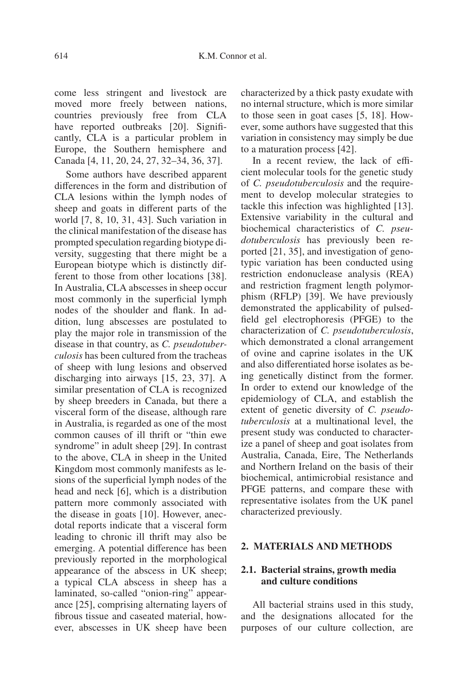come less stringent and livestock are moved more freely between nations, countries previously free from CLA have reported outbreaks [20]. Significantly, CLA is a particular problem in Europe, the Southern hemisphere and Canada [4, 11, 20, 24, 27, 32–34, 36, 37].

Some authors have described apparent differences in the form and distribution of CLA lesions within the lymph nodes of sheep and goats in different parts of the world [7, 8, 10, 31, 43]. Such variation in the clinical manifestation of the disease has prompted speculation regarding biotype diversity, suggesting that there might be a European biotype which is distinctly different to those from other locations [38]. In Australia, CLA abscesses in sheep occur most commonly in the superficial lymph nodes of the shoulder and flank. In addition, lung abscesses are postulated to play the major role in transmission of the disease in that country, as *C. pseudotuberculosis* has been cultured from the tracheas of sheep with lung lesions and observed discharging into airways [15, 23, 37]. A similar presentation of CLA is recognized by sheep breeders in Canada, but there a visceral form of the disease, although rare in Australia, is regarded as one of the most common causes of ill thrift or "thin ewe syndrome" in adult sheep [29]. In contrast to the above, CLA in sheep in the United Kingdom most commonly manifests as lesions of the superficial lymph nodes of the head and neck [6], which is a distribution pattern more commonly associated with the disease in goats [10]. However, anecdotal reports indicate that a visceral form leading to chronic ill thrift may also be emerging. A potential difference has been previously reported in the morphological appearance of the abscess in UK sheep; a typical CLA abscess in sheep has a laminated, so-called "onion-ring" appearance [25], comprising alternating layers of fibrous tissue and caseated material, however, abscesses in UK sheep have been characterized by a thick pasty exudate with no internal structure, which is more similar to those seen in goat cases [5, 18]. However, some authors have suggested that this variation in consistency may simply be due to a maturation process [42].

In a recent review, the lack of efficient molecular tools for the genetic study of *C. pseudotuberculosis* and the requirement to develop molecular strategies to tackle this infection was highlighted [13]. Extensive variability in the cultural and biochemical characteristics of *C. pseudotuberculosis* has previously been reported [21, 35], and investigation of genotypic variation has been conducted using restriction endonuclease analysis (REA) and restriction fragment length polymorphism (RFLP) [39]. We have previously demonstrated the applicability of pulsedfield gel electrophoresis (PFGE) to the characterization of *C. pseudotuberculosis*, which demonstrated a clonal arrangement of ovine and caprine isolates in the UK and also differentiated horse isolates as being genetically distinct from the former. In order to extend our knowledge of the epidemiology of CLA, and establish the extent of genetic diversity of *C. pseudotuberculosis* at a multinational level, the present study was conducted to characterize a panel of sheep and goat isolates from Australia, Canada, Eire, The Netherlands and Northern Ireland on the basis of their biochemical, antimicrobial resistance and PFGE patterns, and compare these with representative isolates from the UK panel characterized previously.

### **2. MATERIALS AND METHODS**

# **2.1. Bacterial strains, growth media and culture conditions**

All bacterial strains used in this study, and the designations allocated for the purposes of our culture collection, are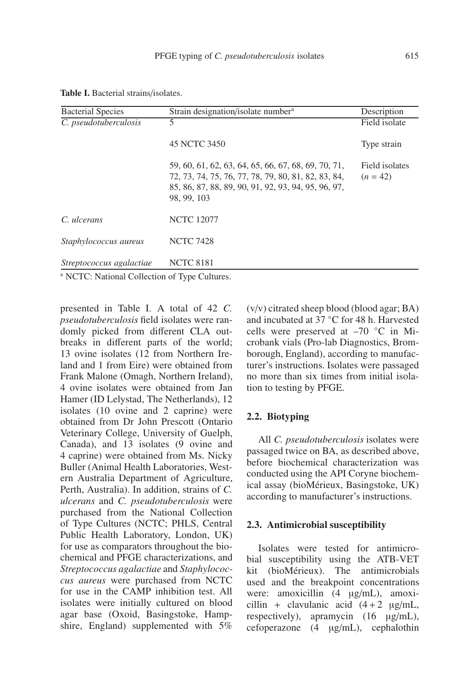| <b>Bacterial Species</b>                                | Strain designation/isolate number <sup>a</sup>                                                                                                                                   |                              |  |  |  |
|---------------------------------------------------------|----------------------------------------------------------------------------------------------------------------------------------------------------------------------------------|------------------------------|--|--|--|
| C. pseudotuberculosis                                   |                                                                                                                                                                                  | Field isolate                |  |  |  |
|                                                         | 45 NCTC 3450                                                                                                                                                                     | Type strain                  |  |  |  |
|                                                         | 59, 60, 61, 62, 63, 64, 65, 66, 67, 68, 69, 70, 71,<br>72, 73, 74, 75, 76, 77, 78, 79, 80, 81, 82, 83, 84,<br>85, 86, 87, 88, 89, 90, 91, 92, 93, 94, 95, 96, 97,<br>98, 99, 103 | Field isolates<br>$(n = 42)$ |  |  |  |
| C. ulcerans                                             | <b>NCTC 12077</b>                                                                                                                                                                |                              |  |  |  |
| Staphylococcus aureus                                   | <b>NCTC 7428</b>                                                                                                                                                                 |                              |  |  |  |
| Streptococcus agalactiae                                | <b>NCTC 8181</b>                                                                                                                                                                 |                              |  |  |  |
| <sup>a</sup> MCTC. Notional Collection of Type Cultures |                                                                                                                                                                                  |                              |  |  |  |

**Table I.** Bacterial strains/isolates.

<sup>a</sup> NCTC: National Collection of Type Cultures.

presented in Table I. A total of 42 *C. pseudotuberculosis* field isolates were randomly picked from different CLA outbreaks in different parts of the world; 13 ovine isolates (12 from Northern Ireland and 1 from Eire) were obtained from Frank Malone (Omagh, Northern Ireland), 4 ovine isolates were obtained from Jan Hamer (ID Lelystad, The Netherlands), 12 isolates (10 ovine and 2 caprine) were obtained from Dr John Prescott (Ontario Veterinary College, University of Guelph, Canada), and 13 isolates (9 ovine and 4 caprine) were obtained from Ms. Nicky Buller (Animal Health Laboratories, Western Australia Department of Agriculture, Perth, Australia). In addition, strains of *C. ulcerans* and *C. pseudotuberculosis* were purchased from the National Collection of Type Cultures (NCTC; PHLS, Central Public Health Laboratory, London, UK) for use as comparators throughout the biochemical and PFGE characterizations, and *Streptococcus agalactiae* and *Staphylococcus aureus* were purchased from NCTC for use in the CAMP inhibition test. All isolates were initially cultured on blood agar base (Oxoid, Basingstoke, Hampshire, England) supplemented with 5%

(v/v) citrated sheep blood (blood agar; BA) and incubated at 37 ◦C for 48 h. Harvested cells were preserved at –70 ◦C in Microbank vials (Pro-lab Diagnostics, Bromborough, England), according to manufacturer's instructions. Isolates were passaged no more than six times from initial isolation to testing by PFGE.

# **2.2. Biotyping**

All *C. pseudotuberculosis* isolates were passaged twice on BA, as described above, before biochemical characterization was conducted using the API Coryne biochemical assay (bioMérieux, Basingstoke, UK) according to manufacturer's instructions.

# **2.3. Antimicrobial susceptibility**

Isolates were tested for antimicrobial susceptibility using the ATB-VET kit (bioMérieux). The antimicrobials used and the breakpoint concentrations were: amoxicillin (4 µg/mL), amoxicillin + clavulanic acid  $(4+2 \mu g/mL)$ , respectively), apramycin (16 µg/mL), cefoperazone (4 µg/mL), cephalothin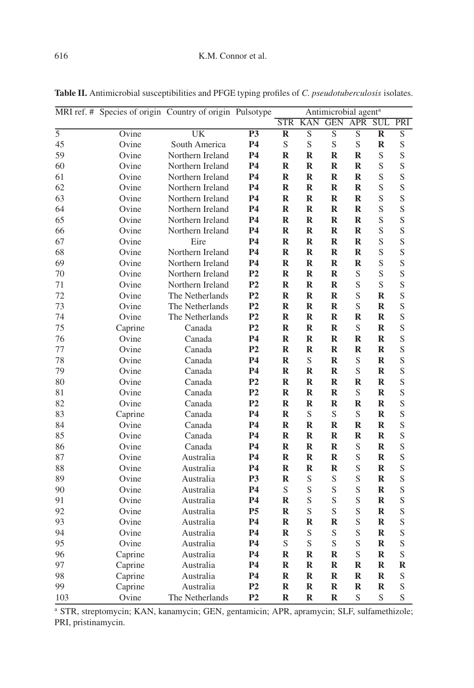|                |         | MRI ref. # Species of origin Country of origin Pulsotype |                |             | Antimicrobial agent <sup>a</sup> |             |             |             |                |
|----------------|---------|----------------------------------------------------------|----------------|-------------|----------------------------------|-------------|-------------|-------------|----------------|
|                |         |                                                          |                |             | <b>STR KAN</b>                   | <b>GEN</b>  | <b>APR</b>  | <b>SUL</b>  | PRI            |
| $\overline{5}$ | Ovine   | UK                                                       | <b>P3</b>      | $\bf R$     | S                                | S           | S           | $\bf R$     | ${\mathcal S}$ |
| 45             | Ovine   | South America                                            | <b>P4</b>      | S           | $\mathbf S$                      | $\mathbf S$ | S           | $\bf R$     | S              |
| 59             | Ovine   | Northern Ireland                                         | <b>P4</b>      | $\mathbf R$ | $\mathbf R$                      | $\mathbf R$ | $\mathbf R$ | S           | S              |
| 60             | Ovine   | Northern Ireland                                         | <b>P4</b>      | $\bf R$     | $\bf{R}$                         | $\bf R$     | $\bf{R}$    | S           | S              |
| 61             | Ovine   | Northern Ireland                                         | <b>P4</b>      | $\mathbf R$ | $\bf{R}$                         | $\mathbf R$ | $\bf{R}$    | S           | S              |
| 62             | Ovine   | Northern Ireland                                         | <b>P4</b>      | $\mathbf R$ | $\mathbf R$                      | $\mathbf R$ | $\mathbf R$ | S           | S              |
| 63             | Ovine   | Northern Ireland                                         | <b>P4</b>      | $\mathbf R$ | $\bf{R}$                         | $\mathbf R$ | $\bf{R}$    | S           | S              |
| 64             | Ovine   | Northern Ireland                                         | <b>P4</b>      | $\mathbf R$ | $\mathbf R$                      | R           | $\mathbf R$ | S           | S              |
| 65             | Ovine   | Northern Ireland                                         | <b>P4</b>      | $\bf R$     | $\mathbf R$                      | $\bf R$     | $\bf{R}$    | S           | $\mathbf S$    |
| 66             | Ovine   | Northern Ireland                                         | <b>P4</b>      | $\mathbf R$ | ${\bf R}$                        | $\mathbf R$ | $\bf{R}$    | S           | S              |
| 67             | Ovine   | Eire                                                     | <b>P4</b>      | $\mathbf R$ | $\mathbf R$                      | R           | $\mathbf R$ | S           | $\mathbf S$    |
| 68             | Ovine   | Northern Ireland                                         | <b>P4</b>      | $\mathbf R$ | $\bf{R}$                         | $\mathbf R$ | $\bf{R}$    | S           | S              |
| 69             | Ovine   | Northern Ireland                                         | <b>P4</b>      | $\mathbf R$ | $\bf{R}$                         | $\mathbf R$ | $\bf{R}$    | S           | S              |
| 70             | Ovine   | Northern Ireland                                         | P <sub>2</sub> | $\bf R$     | $\mathbf R$                      | $\mathbf R$ | S           | S           | S              |
| 71             | Ovine   | Northern Ireland                                         | P <sub>2</sub> | $\mathbf R$ | $\bf{R}$                         | $\mathbf R$ | S           | S           | S              |
| 72             | Ovine   | The Netherlands                                          | P <sub>2</sub> | R           | $\mathbf R$                      | R           | S           | R           | $\mathbf S$    |
| 73             | Ovine   | The Netherlands                                          | P <sub>2</sub> | $\mathbf R$ | $\bf{R}$                         | $\bf{R}$    | S           | $\bf R$     | S              |
| 74             | Ovine   | The Netherlands                                          | P <sub>2</sub> | $\mathbf R$ | $\mathbf R$                      | $\mathbf R$ | $\bf{R}$    | $\mathbf R$ | S              |
| 75             | Caprine | Canada                                                   | P <sub>2</sub> | R           | $\bf{R}$                         | R           | S           | $\bf R$     | $\mathbf S$    |
| 76             | Ovine   | Canada                                                   | <b>P4</b>      | $\mathbf R$ | $\bf{R}$                         | $\bf{R}$    | $\bf{R}$    | R           | S              |
| 77             | Ovine   | Canada                                                   | P <sub>2</sub> | $\mathbf R$ | $\bf{R}$                         | $\mathbf R$ | $\mathbf R$ | $\mathbf R$ | S              |
| 78             | Ovine   | Canada                                                   | <b>P4</b>      | $\mathbf R$ | $\mathbf S$                      | ${\bf R}$   | S           | $\bf R$     | S              |
| 79             | Ovine   | Canada                                                   | <b>P4</b>      | $\mathbf R$ | $\mathbf R$                      | $\mathbf R$ | S           | $\mathbf R$ | S              |
| 80             | Ovine   | Canada                                                   | P <sub>2</sub> | $\bf R$     | $\bf{R}$                         | R           | R           | R           | $\mathbf S$    |
| 81             | Ovine   | Canada                                                   | P <sub>2</sub> | $\mathbf R$ | $\bf{R}$                         | $\mathbf R$ | S           | $\bf R$     | S              |
| 82             | Ovine   | Canada                                                   | P <sub>2</sub> | $\mathbf R$ | $\mathbf R$                      | $\mathbf R$ | $\mathbf R$ | R           | S              |
| 83             | Caprine | Canada                                                   | <b>P4</b>      | $\mathbf R$ | $\mathbf S$                      | S           | S           | $\bf R$     | S              |
| 84             | Ovine   | Canada                                                   | <b>P4</b>      | $\mathbf R$ | $\bf{R}$                         | $\mathbf R$ | R           | $\mathbf R$ | S              |
| 85             | Ovine   | Canada                                                   | <b>P4</b>      | $\mathbf R$ | $\mathbf R$                      | $\mathbf R$ | $\mathbf R$ | R           | ${\mathcal S}$ |
| 86             | Ovine   | Canada                                                   | <b>P4</b>      | $\mathbf R$ | $\mathbf R$                      | $\mathbf R$ | S           | $\bf R$     | S              |
| 87             | Ovine   | Australia                                                | <b>P4</b>      | $\mathbf R$ | $\bf{R}$                         | R           | S           | $\bf R$     | S              |
| 88             | Ovine   | Australia                                                | <b>P4</b>      | $\mathbf R$ | $\mathbf R$                      | $\bf R$     | S           | $\bf R$     | S              |
| 89             | Ovine   | Australia                                                | P <sub>3</sub> | $\mathbf R$ | S                                | S           | S           | $\mathbf R$ | S              |
| 90             | Ovine   | Australia                                                | <b>P4</b>      | S           | $\mathbf S$                      | S           | S           | $\bf R$     | ${\mathcal S}$ |
| 91             | Ovine   | Australia                                                | <b>P4</b>      | $\mathbf R$ | $\mathbf S$                      | S           | S           | $\bf R$     | S              |
| 92             | Ovine   | Australia                                                | P <sub>5</sub> | $\mathbf R$ | S                                | $\mathbf S$ | S           | $\mathbf R$ | ${\mathcal S}$ |
| 93             | Ovine   | Australia                                                | <b>P4</b>      | $\mathbf R$ | $\bf{R}$                         | $\mathbf R$ | S           | $\bf R$     | S              |
| 94             | Ovine   | Australia                                                | <b>P4</b>      | $\mathbf R$ | $\mathbf S$                      | S           | S           | $\bf R$     | S              |
| 95             | Ovine   | Australia                                                | <b>P4</b>      | S           | S                                | S           | S           | $\bf R$     | ${\mathcal S}$ |
| 96             | Caprine | Australia                                                | <b>P4</b>      | $\mathbf R$ | $\bf{R}$                         | $\mathbf R$ | S           | $\bf R$     | S              |
| 97             | Caprine | Australia                                                | <b>P4</b>      | $\mathbf R$ | $\bf{R}$                         | $\mathbf R$ | $\bf{R}$    | R           | $\mathbf R$    |

**Table II.** Antimicrobial susceptibilities and PFGE typing profiles of *C. pseudotuberculosis* isolates.

<sup>a</sup> STR, streptomycin; KAN, kanamycin; GEN, gentamicin; APR, apramycin; SLF, sulfamethizole; PRI, pristinamycin.

98 Caprine Australia **P4 R R R R R** S 99 Caprine Australia **P2 R R R R R** S 103 Ovine The Netherlands **P2 R R R** S S S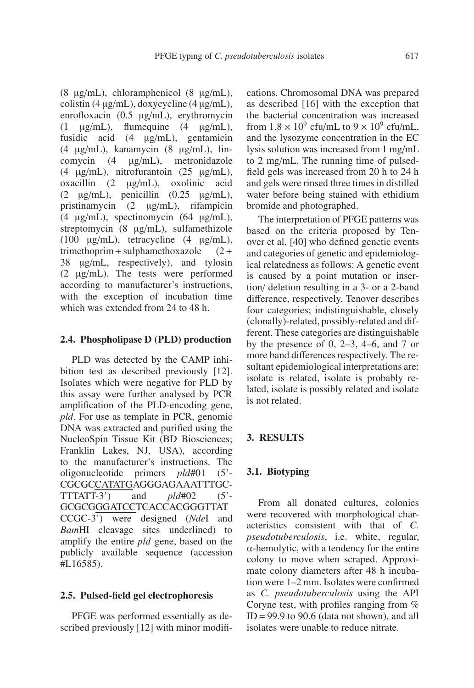(8 µg/mL), chloramphenicol (8 µg/mL), colistin  $(4 \mu g/mL)$ , doxycycline  $(4 \mu g/mL)$ , enrofloxacin (0.5 µg/mL), erythromycin  $(1 \quad \mu g/mL)$ , flumequine  $(4 \quad \mu g/mL)$ , fusidic acid (4 µg/mL), gentamicin (4 µg/mL), kanamycin (8 µg/mL), lincomycin (4 µg/mL), metronidazole (4 µg/mL), nitrofurantoin (25 µg/mL), oxacillin (2 µg/mL), oxolinic acid  $(2 \quad \mu g/mL)$ , penicillin  $(0.25 \quad \mu g/mL)$ , pristinamycin (2 µg/mL), rifampicin (4 µg/mL), spectinomycin (64 µg/mL), streptomycin (8 µg/mL), sulfamethizole (100  $\mu$ g/mL), tetracycline (4  $\mu$ g/mL), trimethoprim + sulphamethoxazole  $(2 +$ 38 µg/mL, respectively), and tylosin (2 µg/mL). The tests were performed according to manufacturer's instructions, with the exception of incubation time which was extended from 24 to 48 h.

#### **2.4. Phospholipase D (PLD) production**

PLD was detected by the CAMP inhibition test as described previously [12]. Isolates which were negative for PLD by this assay were further analysed by PCR amplification of the PLD-encoding gene, *pld*. For use as template in PCR, genomic DNA was extracted and purified using the NucleoSpin Tissue Kit (BD Biosciences; Franklin Lakes, NJ, USA), according to the manufacturer's instructions. The oligonucleotide primers *pld*#01 (5'- CGCGCCATATGAGGGAGAAATTTGC-TTTATT-3') and *pld*#02 (5'- GCGCGGGATCCTCACCACGGGTTAT CCGC-3') were designed (*Nde*I and *Bam*HI cleavage sites underlined) to amplify the entire *pld* gene, based on the publicly available sequence (accession #L16585).

#### **2.5. Pulsed-field gel electrophoresis**

PFGE was performed essentially as described previously [12] with minor modifications. Chromosomal DNA was prepared as described [16] with the exception that the bacterial concentration was increased from  $1.8 \times 10^9$  cfu/mL to  $9 \times 10^9$  cfu/mL, and the lysozyme concentration in the EC lysis solution was increased from 1 mg/mL to 2 mg/mL. The running time of pulsedfield gels was increased from 20 h to 24 h and gels were rinsed three times in distilled water before being stained with ethidium bromide and photographed.

The interpretation of PFGE patterns was based on the criteria proposed by Tenover et al. [40] who defined genetic events and categories of genetic and epidemiological relatedness as follows: A genetic event is caused by a point mutation or insertion/ deletion resulting in a 3- or a 2-band difference, respectively. Tenover describes four categories; indistinguishable, closely (clonally)-related, possibly-related and different. These categories are distinguishable by the presence of 0,  $2-3$ ,  $4-6$ , and 7 or more band differences respectively. The resultant epidemiological interpretations are: isolate is related, isolate is probably related, isolate is possibly related and isolate is not related.

#### **3. RESULTS**

#### **3.1. Biotyping**

From all donated cultures, colonies were recovered with morphological characteristics consistent with that of *C. pseudotuberculosis*, i.e. white, regular, α-hemolytic, with a tendency for the entire colony to move when scraped. Approximate colony diameters after 48 h incubation were 1–2 mm. Isolates were confirmed as *C. pseudotuberculosis* using the API Coryne test, with profiles ranging from %  $ID = 99.9$  to 90.6 (data not shown), and all isolates were unable to reduce nitrate.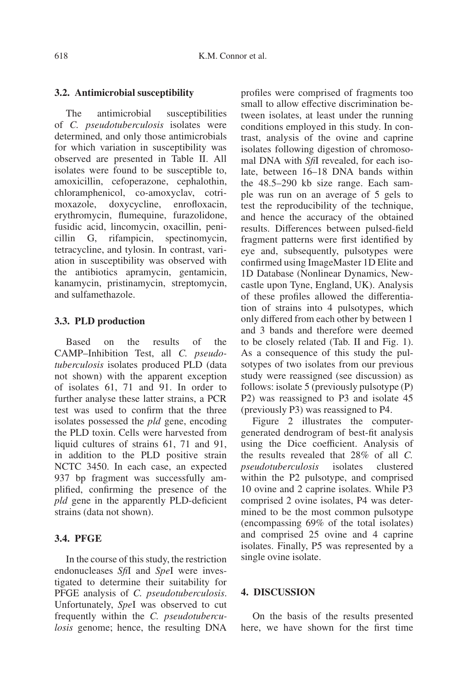#### **3.2. Antimicrobial susceptibility**

The antimicrobial susceptibilities of *C. pseudotuberculosis* isolates were determined, and only those antimicrobials for which variation in susceptibility was observed are presented in Table II. All isolates were found to be susceptible to, amoxicillin, cefoperazone, cephalothin, chloramphenicol, co-amoxyclav, cotrimoxazole, doxycycline, enrofloxacin, erythromycin, flumequine, furazolidone, fusidic acid, lincomycin, oxacillin, penicillin G, rifampicin, spectinomycin, tetracycline, and tylosin. In contrast, variation in susceptibility was observed with the antibiotics apramycin, gentamicin, kanamycin, pristinamycin, streptomycin, and sulfamethazole.

#### **3.3. PLD production**

Based on the results of the CAMP–Inhibition Test, all *C. pseudotuberculosis* isolates produced PLD (data not shown) with the apparent exception of isolates 61, 71 and 91. In order to further analyse these latter strains, a PCR test was used to confirm that the three isolates possessed the *pld* gene, encoding the PLD toxin. Cells were harvested from liquid cultures of strains 61, 71 and 91, in addition to the PLD positive strain NCTC 3450. In each case, an expected 937 bp fragment was successfully amplified, confirming the presence of the *pld* gene in the apparently PLD-deficient strains (data not shown).

# **3.4. PFGE**

In the course of this study, the restriction endonucleases *Sfi*I and *Spe*I were investigated to determine their suitability for PFGE analysis of *C. pseudotuberculosis*. Unfortunately, *Spe*I was observed to cut frequently within the *C. pseudotuberculosis* genome; hence, the resulting DNA profiles were comprised of fragments too small to allow effective discrimination between isolates, at least under the running conditions employed in this study. In contrast, analysis of the ovine and caprine isolates following digestion of chromosomal DNA with *Sfi*I revealed, for each isolate, between 16–18 DNA bands within the 48.5–290 kb size range. Each sample was run on an average of 5 gels to test the reproducibility of the technique, and hence the accuracy of the obtained results. Differences between pulsed-field fragment patterns were first identified by eye and, subsequently, pulsotypes were confirmed using ImageMaster 1D Elite and 1D Database (Nonlinear Dynamics, Newcastle upon Tyne, England, UK). Analysis of these profiles allowed the differentiation of strains into 4 pulsotypes, which only differed from each other by between 1 and 3 bands and therefore were deemed to be closely related (Tab. II and Fig. 1). As a consequence of this study the pulsotypes of two isolates from our previous study were reassigned (see discussion) as follows: isolate 5 (previously pulsotype (P) P2) was reassigned to P3 and isolate 45 (previously P3) was reassigned to P4.

Figure 2 illustrates the computergenerated dendrogram of best-fit analysis using the Dice coefficient. Analysis of the results revealed that 28% of all *C. pseudotuberculosis* isolates clustered within the P2 pulsotype, and comprised 10 ovine and 2 caprine isolates. While P3 comprised 2 ovine isolates, P4 was determined to be the most common pulsotype (encompassing 69% of the total isolates) and comprised 25 ovine and 4 caprine isolates. Finally, P5 was represented by a single ovine isolate.

# **4. DISCUSSION**

On the basis of the results presented here, we have shown for the first time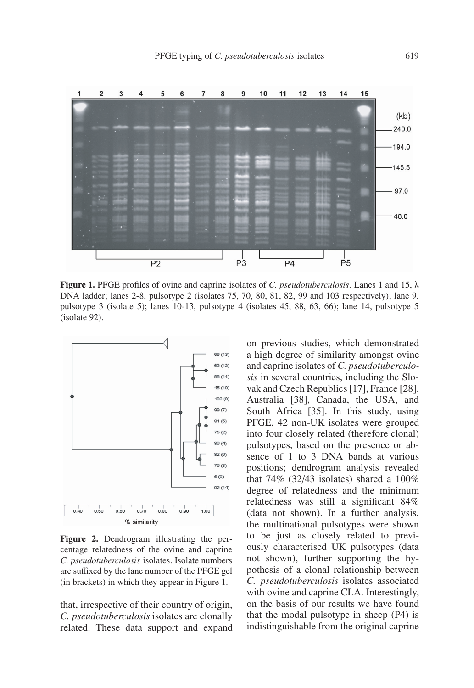

**Figure 1.** PFGE profiles of ovine and caprine isolates of *C. pseudotuberculosis*. Lanes 1 and 15, λ DNA ladder; lanes 2-8, pulsotype 2 (isolates 75, 70, 80, 81, 82, 99 and 103 respectively); lane 9, pulsotype 3 (isolate 5); lanes 10-13, pulsotype 4 (isolates 45, 88, 63, 66); lane 14, pulsotype 5 (isolate 92).



**Figure 2.** Dendrogram illustrating the percentage relatedness of the ovine and caprine *C. pseudotuberculosis* isolates. Isolate numbers are suffixed by the lane number of the PFGE gel (in brackets) in which they appear in Figure 1.

that, irrespective of their country of origin, *C. pseudotuberculosis* isolates are clonally related. These data support and expand on previous studies, which demonstrated a high degree of similarity amongst ovine and caprine isolates of *C. pseudotuberculosis* in several countries, including the Slovak and Czech Republics [17], France [28], Australia [38], Canada, the USA, and South Africa [35]. In this study, using PFGE, 42 non-UK isolates were grouped into four closely related (therefore clonal) pulsotypes, based on the presence or absence of 1 to 3 DNA bands at various positions; dendrogram analysis revealed that  $74\%$  (32/43 isolates) shared a  $100\%$ degree of relatedness and the minimum relatedness was still a significant 84% (data not shown). In a further analysis, the multinational pulsotypes were shown to be just as closely related to previously characterised UK pulsotypes (data not shown), further supporting the hypothesis of a clonal relationship between *C. pseudotuberculosis* isolates associated with ovine and caprine CLA. Interestingly, on the basis of our results we have found that the modal pulsotype in sheep (P4) is indistinguishable from the original caprine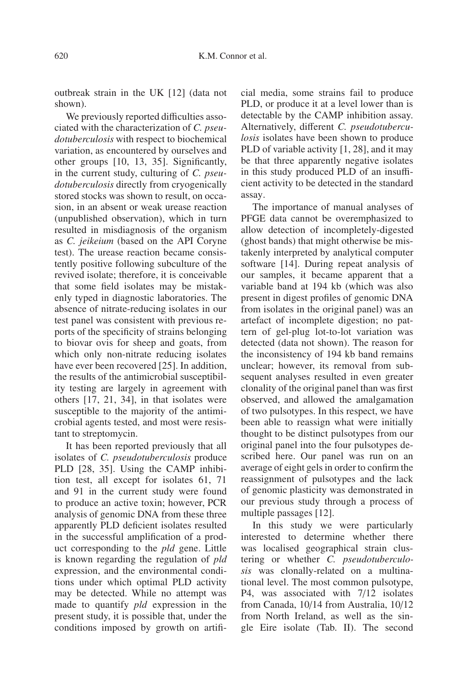outbreak strain in the UK [12] (data not shown).

We previously reported difficulties associated with the characterization of *C. pseudotuberculosis* with respect to biochemical variation, as encountered by ourselves and other groups [10, 13, 35]. Significantly, in the current study, culturing of *C. pseudotuberculosis* directly from cryogenically stored stocks was shown to result, on occasion, in an absent or weak urease reaction (unpublished observation), which in turn resulted in misdiagnosis of the organism as *C. jeikeium* (based on the API Coryne test). The urease reaction became consistently positive following subculture of the revived isolate; therefore, it is conceivable that some field isolates may be mistakenly typed in diagnostic laboratories. The absence of nitrate-reducing isolates in our test panel was consistent with previous reports of the specificity of strains belonging to biovar ovis for sheep and goats, from which only non-nitrate reducing isolates have ever been recovered [25]. In addition, the results of the antimicrobial susceptibility testing are largely in agreement with others [17, 21, 34], in that isolates were susceptible to the majority of the antimicrobial agents tested, and most were resistant to streptomycin.

It has been reported previously that all isolates of *C. pseudotuberculosis* produce PLD [28, 35]. Using the CAMP inhibition test, all except for isolates 61, 71 and 91 in the current study were found to produce an active toxin; however, PCR analysis of genomic DNA from these three apparently PLD deficient isolates resulted in the successful amplification of a product corresponding to the *pld* gene. Little is known regarding the regulation of *pld* expression, and the environmental conditions under which optimal PLD activity may be detected. While no attempt was made to quantify *pld* expression in the present study, it is possible that, under the conditions imposed by growth on artificial media, some strains fail to produce PLD, or produce it at a level lower than is detectable by the CAMP inhibition assay. Alternatively, different *C. pseudotuberculosis* isolates have been shown to produce PLD of variable activity [1, 28], and it may be that three apparently negative isolates in this study produced PLD of an insufficient activity to be detected in the standard assay.

The importance of manual analyses of PFGE data cannot be overemphasized to allow detection of incompletely-digested (ghost bands) that might otherwise be mistakenly interpreted by analytical computer software [14]. During repeat analysis of our samples, it became apparent that a variable band at 194 kb (which was also present in digest profiles of genomic DNA from isolates in the original panel) was an artefact of incomplete digestion; no pattern of gel-plug lot-to-lot variation was detected (data not shown). The reason for the inconsistency of 194 kb band remains unclear; however, its removal from subsequent analyses resulted in even greater clonality of the original panel than was first observed, and allowed the amalgamation of two pulsotypes. In this respect, we have been able to reassign what were initially thought to be distinct pulsotypes from our original panel into the four pulsotypes described here. Our panel was run on an average of eight gels in order to confirm the reassignment of pulsotypes and the lack of genomic plasticity was demonstrated in our previous study through a process of multiple passages [12].

In this study we were particularly interested to determine whether there was localised geographical strain clustering or whether *C. pseudotuberculosis* was clonally-related on a multinational level. The most common pulsotype, P4, was associated with 7/12 isolates from Canada, 10/14 from Australia, 10/12 from North Ireland, as well as the single Eire isolate (Tab. II). The second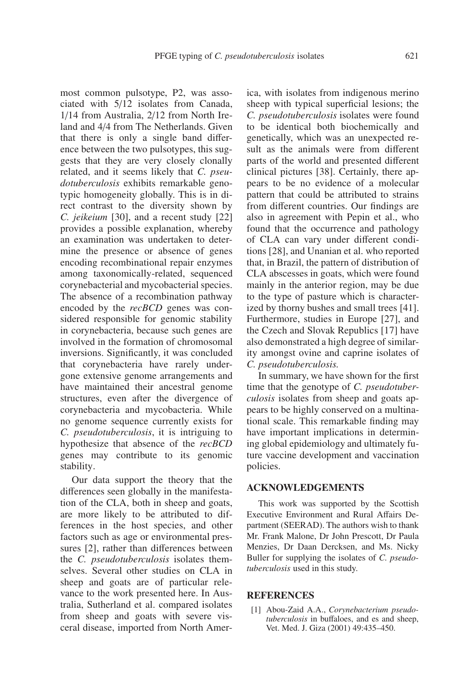most common pulsotype, P2, was associated with 5/12 isolates from Canada, 1/14 from Australia, 2/12 from North Ireland and 4/4 from The Netherlands. Given that there is only a single band difference between the two pulsotypes, this suggests that they are very closely clonally related, and it seems likely that *C. pseudotuberculosis* exhibits remarkable genotypic homogeneity globally. This is in direct contrast to the diversity shown by *C. jeikeium* [30], and a recent study [22] provides a possible explanation, whereby an examination was undertaken to determine the presence or absence of genes encoding recombinational repair enzymes among taxonomically-related, sequenced corynebacterial and mycobacterial species. The absence of a recombination pathway encoded by the *recBCD* genes was considered responsible for genomic stability in corynebacteria, because such genes are involved in the formation of chromosomal inversions. Significantly, it was concluded that corynebacteria have rarely undergone extensive genome arrangements and have maintained their ancestral genome structures, even after the divergence of corynebacteria and mycobacteria. While no genome sequence currently exists for *C. pseudotuberculosis*, it is intriguing to hypothesize that absence of the *recBCD* genes may contribute to its genomic stability.

Our data support the theory that the differences seen globally in the manifestation of the CLA, both in sheep and goats, are more likely to be attributed to differences in the host species, and other factors such as age or environmental pressures [2], rather than differences between the *C. pseudotuberculosis* isolates themselves. Several other studies on CLA in sheep and goats are of particular relevance to the work presented here. In Australia, Sutherland et al. compared isolates from sheep and goats with severe visceral disease, imported from North America, with isolates from indigenous merino sheep with typical superficial lesions; the *C. pseudotuberculosis* isolates were found to be identical both biochemically and genetically, which was an unexpected result as the animals were from different parts of the world and presented different clinical pictures [38]. Certainly, there appears to be no evidence of a molecular pattern that could be attributed to strains from different countries. Our findings are also in agreement with Pepin et al., who found that the occurrence and pathology of CLA can vary under different conditions [28], and Unanian et al. who reported that, in Brazil, the pattern of distribution of CLA abscesses in goats, which were found mainly in the anterior region, may be due to the type of pasture which is characterized by thorny bushes and small trees [41]. Furthermore, studies in Europe [27], and the Czech and Slovak Republics [17] have also demonstrated a high degree of similarity amongst ovine and caprine isolates of *C. pseudotuberculosis*.

In summary, we have shown for the first time that the genotype of *C. pseudotuberculosis* isolates from sheep and goats appears to be highly conserved on a multinational scale. This remarkable finding may have important implications in determining global epidemiology and ultimately future vaccine development and vaccination policies.

#### **ACKNOWLEDGEMENTS**

This work was supported by the Scottish Executive Environment and Rural Affairs Department (SEERAD). The authors wish to thank Mr. Frank Malone, Dr John Prescott, Dr Paula Menzies, Dr Daan Dercksen, and Ms. Nicky Buller for supplying the isolates of *C. pseudotuberculosis* used in this study.

#### **REFERENCES**

[1] Abou-Zaid A.A., *Corynebacterium pseudotuberculosis* in buffaloes, and es and sheep, Vet. Med. J. Giza (2001) 49:435–450.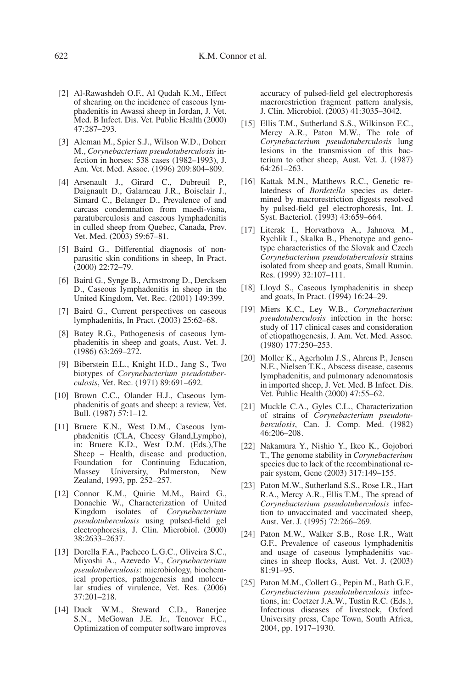- [2] Al-Rawashdeh O.F., Al Qudah K.M., Effect of shearing on the incidence of caseous lymphadenitis in Awassi sheep in Jordan, J. Vet. Med. B Infect. Dis. Vet. Public Health (2000) 47:287–293.
- [3] Aleman M., Spier S.J., Wilson W.D., Doherr M., *Corynebacterium pseudotuberculosis* infection in horses: 538 cases (1982–1993), J. Am. Vet. Med. Assoc. (1996) 209:804–809.
- [4] Arsenault J., Girard C., Dubreuil P., Daignault D., Galarneau J.R., Boisclair J., Simard C., Belanger D., Prevalence of and carcass condemnation from maedi-visna, paratuberculosis and caseous lymphadenitis in culled sheep from Quebec, Canada, Prev. Vet. Med. (2003) 59:67-81.
- [5] Baird G., Differential diagnosis of nonparasitic skin conditions in sheep, In Pract. (2000) 22:72–79.
- [6] Baird G., Synge B., Armstrong D., Dercksen D., Caseous lymphadenitis in sheep in the United Kingdom, Vet. Rec. (2001) 149:399.
- [7] Baird G., Current perspectives on caseous lymphadenitis, In Pract. (2003) 25:62–68.
- [8] Batey R.G., Pathogenesis of caseous lymphadenitis in sheep and goats, Aust. Vet. J. (1986) 63:269–272.
- [9] Biberstein E.L., Knight H.D., Jang S., Two biotypes of *Corynebacterium pseudotuberculosis*, Vet. Rec. (1971) 89:691–692.
- [10] Brown C.C., Olander H.J., Caseous lymphadenitis of goats and sheep: a review, Vet. Bull. (1987) 57:1–12.
- [11] Bruere K.N., West D.M., Caseous lymphadenitis (CLA, Cheesy Gland,Lympho), in: Bruere K.D., West D.M. (Eds.),The Sheep – Health, disease and production, Foundation for Continuing Education, Massey University, Palmerston, New Zealand, 1993, pp. 252–257.
- [12] Connor K.M., Quirie M.M., Baird G., Donachie W., Characterization of United Kingdom isolates of *Corynebacterium pseudotuberculosis* using pulsed-field gel electrophoresis, J. Clin. Microbiol. (2000) 38:2633–2637.
- [13] Dorella F.A., Pacheco L.G.C., Oliveira S.C., Miyoshi A., Azevedo V., *Corynebacterium pseudotuberculosis*: microbiology, biochemical properties, pathogenesis and molecular studies of virulence, Vet. Res. (2006) 37:201–218.
- [14] Duck W.M., Steward C.D., Banerjee S.N., McGowan J.E. Jr., Tenover F.C., Optimization of computer software improves

accuracy of pulsed-field gel electrophoresis macrorestriction fragment pattern analysis, J. Clin. Microbiol. (2003) 41:3035–3042.

- [15] Ellis T.M., Sutherland S.S., Wilkinson F.C., Mercy A.R., Paton M.W., The role of *Corynebacterium pseudotuberculosis* lung lesions in the transmission of this bacterium to other sheep, Aust. Vet. J. (1987) 64:261–263.
- [16] Kattak M.N., Matthews R.C., Genetic relatedness of *Bordetella* species as determined by macrorestriction digests resolved by pulsed-field gel electrophoresis, Int. J. Syst. Bacteriol. (1993) 43:659–664.
- [17] Literak I., Horvathova A., Jahnova M., Rychlik I., Skalka B., Phenotype and genotype characteristics of the Slovak and Czech *Corynebacterium pseudotuberculosis* strains isolated from sheep and goats, Small Rumin. Res. (1999) 32:107–111.
- [18] Lloyd S., Caseous lymphadenitis in sheep and goats, In Pract. (1994) 16:24–29.
- [19] Miers K.C., Ley W.B., *Corynebacterium pseudotuberculosis* infection in the horse: study of 117 clinical cases and consideration of etiopathogenesis, J. Am. Vet. Med. Assoc. (1980) 177:250–253.
- [20] Moller K., Agerholm J.S., Ahrens P., Jensen N.E., Nielsen T.K., Abscess disease, caseous lymphadenitis, and pulmonary adenomatosis in imported sheep, J. Vet. Med. B Infect. Dis. Vet. Public Health (2000) 47:55–62.
- [21] Muckle C.A., Gyles C.L., Characterization of strains of *Corynebacterium pseudotuberculosis*, Can. J. Comp. Med. (1982) 46:206–208.
- [22] Nakamura Y., Nishio Y., Ikeo K., Gojobori T., The genome stability in *Corynebacterium* species due to lack of the recombinational repair system, Gene (2003) 317:149–155.
- [23] Paton M.W., Sutherland S.S., Rose I.R., Hart R.A., Mercy A.R., Ellis T.M., The spread of *Corynebacterium pseudotuberculosis* infection to unvaccinated and vaccinated sheep, Aust. Vet. J. (1995) 72:266–269.
- [24] Paton M.W., Walker S.B., Rose I.R., Watt G.F., Prevalence of caseous lymphadenitis and usage of caseous lymphadenitis vaccines in sheep flocks, Aust. Vet. J. (2003) 81:91–95.
- [25] Paton M.M., Collett G., Pepin M., Bath G.F., *Corynebacterium pseudotuberculosis* infections, in: Coetzer J.A.W., Tustin R.C. (Eds.), Infectious diseases of livestock, Oxford University press, Cape Town, South Africa, 2004, pp. 1917–1930.